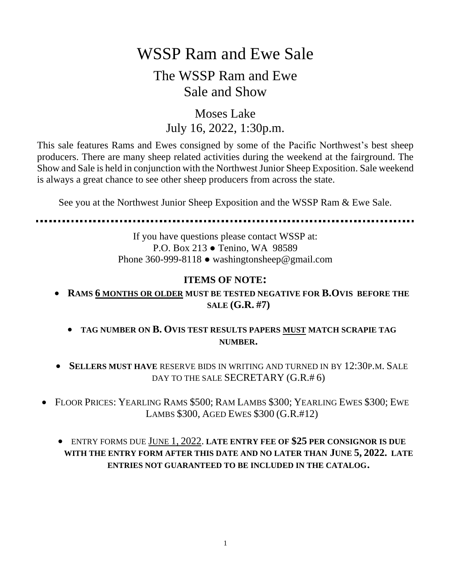# WSSP Ram and Ewe Sale

### The WSSP Ram and Ewe Sale and Show

### Moses Lake July 16, 2022, 1:30p.m.

This sale features Rams and Ewes consigned by some of the Pacific Northwest's best sheep producers. There are many sheep related activities during the weekend at the fairground. The Show and Sale is held in conjunction with the Northwest Junior Sheep Exposition. Sale weekend is always a great chance to see other sheep producers from across the state.

See you at the Northwest Junior Sheep Exposition and the WSSP Ram & Ewe Sale.

If you have questions please contact WSSP at: P.O. Box 213 ● Tenino, WA 98589 Phone 360-999-8118 ● washingtonsheep@gmail.com

### **ITEMS OF NOTE:**

- **RAMS 6 MONTHS OR OLDER MUST BE TESTED NEGATIVE FOR B.OVIS BEFORE THE SALE (G.R. #7)**
	- **TAG NUMBER ON B. OVIS TEST RESULTS PAPERS MUST MATCH SCRAPIE TAG NUMBER.**
- **SELLERS MUST HAVE** RESERVE BIDS IN WRITING AND TURNED IN BY 12:30P.M. SALE DAY TO THE SALE SECRETARY (G.R.#6)
- FLOOR PRICES: YEARLING RAMS \$500; RAM LAMBS \$300; YEARLING EWES \$300; EWE LAMBS \$300, AGED EWES \$300 (G.R.#12)
	- ENTRY FORMS DUE JUNE 1, 2022. **LATE ENTRY FEE OF \$25 PER CONSIGNOR IS DUE WITH THE ENTRY FORM AFTER THIS DATE AND NO LATER THAN JUNE 5, 2022. LATE ENTRIES NOT GUARANTEED TO BE INCLUDED IN THE CATALOG.**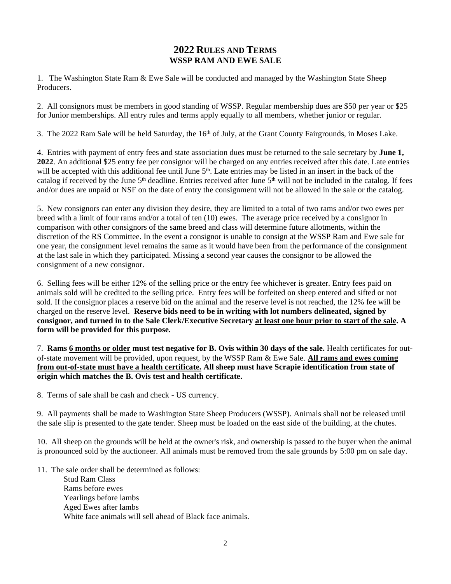#### **2022 RULES AND TERMS WSSP RAM AND EWE SALE**

1. The Washington State Ram & Ewe Sale will be conducted and managed by the Washington State Sheep Producers.

2. All consignors must be members in good standing of WSSP. Regular membership dues are \$50 per year or \$25 for Junior memberships. All entry rules and terms apply equally to all members, whether junior or regular.

3. The 2022 Ram Sale will be held Saturday, the 16<sup>th</sup> of July, at the Grant County Fairgrounds, in Moses Lake.

4. Entries with payment of entry fees and state association dues must be returned to the sale secretary by **June 1, 2022**. An additional \$25 entry fee per consignor will be charged on any entries received after this date. Late entries will be accepted with this additional fee until June 5<sup>th</sup>. Late entries may be listed in an insert in the back of the catalog if received by the June 5<sup>th</sup> deadline. Entries received after June 5<sup>th</sup> will not be included in the catalog. If fees and/or dues are unpaid or NSF on the date of entry the consignment will not be allowed in the sale or the catalog.

5. New consignors can enter any division they desire, they are limited to a total of two rams and/or two ewes per breed with a limit of four rams and/or a total of ten (10) ewes. The average price received by a consignor in comparison with other consignors of the same breed and class will determine future allotments, within the discretion of the RS Committee. In the event a consignor is unable to consign at the WSSP Ram and Ewe sale for one year, the consignment level remains the same as it would have been from the performance of the consignment at the last sale in which they participated. Missing a second year causes the consignor to be allowed the consignment of a new consignor.

6. Selling fees will be either 12% of the selling price or the entry fee whichever is greater. Entry fees paid on animals sold will be credited to the selling price. Entry fees will be forfeited on sheep entered and sifted or not sold. If the consignor places a reserve bid on the animal and the reserve level is not reached, the 12% fee will be charged on the reserve level. **Reserve bids need to be in writing with lot numbers delineated, signed by consignor, and turned in to the Sale Clerk/Executive Secretary at least one hour prior to start of the sale. A form will be provided for this purpose.**

7. **Rams 6 months or older must test negative for B. Ovis within 30 days of the sale.** Health certificates for outof-state movement will be provided, upon request, by the WSSP Ram & Ewe Sale. **All rams and ewes coming from out-of-state must have a health certificate. All sheep must have Scrapie identification from state of origin which matches the B. Ovis test and health certificate.**

8. Terms of sale shall be cash and check - US currency.

9. All payments shall be made to Washington State Sheep Producers (WSSP). Animals shall not be released until the sale slip is presented to the gate tender. Sheep must be loaded on the east side of the building, at the chutes.

10. All sheep on the grounds will be held at the owner's risk, and ownership is passed to the buyer when the animal is pronounced sold by the auctioneer. All animals must be removed from the sale grounds by 5:00 pm on sale day.

11. The sale order shall be determined as follows:

Stud Ram Class Rams before ewes Yearlings before lambs Aged Ewes after lambs White face animals will sell ahead of Black face animals.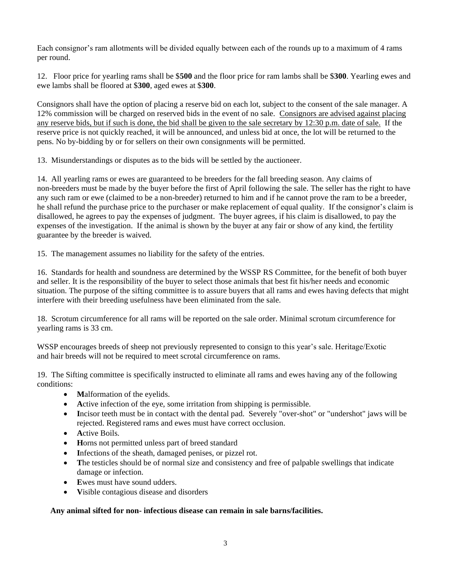Each consignor's ram allotments will be divided equally between each of the rounds up to a maximum of 4 rams per round.

12. Floor price for yearling rams shall be \$**500** and the floor price for ram lambs shall be \$**300**. Yearling ewes and ewe lambs shall be floored at \$**300**, aged ewes at \$**300**.

Consignors shall have the option of placing a reserve bid on each lot, subject to the consent of the sale manager. A 12% commission will be charged on reserved bids in the event of no sale. Consignors are advised against placing any reserve bids, but if such is done, the bid shall be given to the sale secretary by 12:30 p.m. date of sale. If the reserve price is not quickly reached, it will be announced, and unless bid at once, the lot will be returned to the pens. No by-bidding by or for sellers on their own consignments will be permitted.

13. Misunderstandings or disputes as to the bids will be settled by the auctioneer.

14. All yearling rams or ewes are guaranteed to be breeders for the fall breeding season. Any claims of non-breeders must be made by the buyer before the first of April following the sale. The seller has the right to have any such ram or ewe (claimed to be a non-breeder) returned to him and if he cannot prove the ram to be a breeder, he shall refund the purchase price to the purchaser or make replacement of equal quality. If the consignor's claim is disallowed, he agrees to pay the expenses of judgment. The buyer agrees, if his claim is disallowed, to pay the expenses of the investigation. If the animal is shown by the buyer at any fair or show of any kind, the fertility guarantee by the breeder is waived.

15. The management assumes no liability for the safety of the entries.

16. Standards for health and soundness are determined by the WSSP RS Committee, for the benefit of both buyer and seller. It is the responsibility of the buyer to select those animals that best fit his/her needs and economic situation. The purpose of the sifting committee is to assure buyers that all rams and ewes having defects that might interfere with their breeding usefulness have been eliminated from the sale.

18. Scrotum circumference for all rams will be reported on the sale order. Minimal scrotum circumference for yearling rams is 33 cm.

WSSP encourages breeds of sheep not previously represented to consign to this year's sale. Heritage/Exotic and hair breeds will not be required to meet scrotal circumference on rams.

19. The Sifting committee is specifically instructed to eliminate all rams and ewes having any of the following conditions:

- **Malformation of the eyelids.**
- Active infection of the eye, some irritation from shipping is permissible.
- **I**ncisor teeth must be in contact with the dental pad. Severely "over-shot" or "undershot" jaws will be rejected. Registered rams and ewes must have correct occlusion.
- **A**ctive Boils.
- **H**orns not permitted unless part of breed standard
- Infections of the sheath, damaged penises, or pizzel rot.
- The testicles should be of normal size and consistency and free of palpable swellings that indicate damage or infection.
- **E**wes must have sound udders.
- **V**isible contagious disease and disorders

#### **Any animal sifted for non- infectious disease can remain in sale barns/facilities.**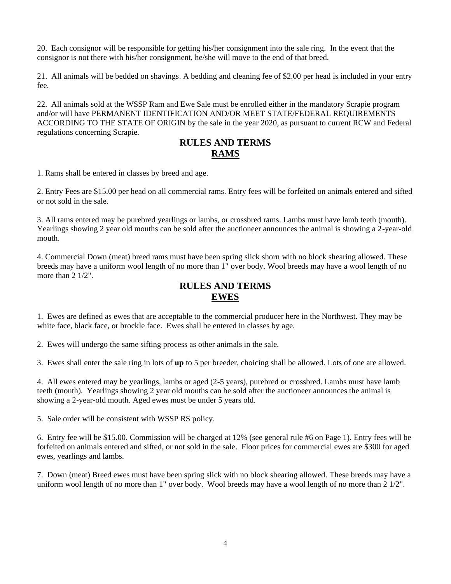20. Each consignor will be responsible for getting his/her consignment into the sale ring. In the event that the consignor is not there with his/her consignment, he/she will move to the end of that breed.

21. All animals will be bedded on shavings. A bedding and cleaning fee of \$2.00 per head is included in your entry fee.

22. All animals sold at the WSSP Ram and Ewe Sale must be enrolled either in the mandatory Scrapie program and/or will have PERMANENT IDENTIFICATION AND/OR MEET STATE/FEDERAL REQUIREMENTS ACCORDING TO THE STATE OF ORIGIN by the sale in the year 2020, as pursuant to current RCW and Federal regulations concerning Scrapie.

#### **RULES AND TERMS RAMS**

1. Rams shall be entered in classes by breed and age.

2. Entry Fees are \$15.00 per head on all commercial rams. Entry fees will be forfeited on animals entered and sifted or not sold in the sale.

3. All rams entered may be purebred yearlings or lambs, or crossbred rams. Lambs must have lamb teeth (mouth). Yearlings showing 2 year old mouths can be sold after the auctioneer announces the animal is showing a 2-year-old mouth.

4. Commercial Down (meat) breed rams must have been spring slick shorn with no block shearing allowed. These breeds may have a uniform wool length of no more than 1" over body. Wool breeds may have a wool length of no more than 2  $1/2$ ".

#### **RULES AND TERMS EWES**

1. Ewes are defined as ewes that are acceptable to the commercial producer here in the Northwest. They may be white face, black face, or brockle face. Ewes shall be entered in classes by age.

2. Ewes will undergo the same sifting process as other animals in the sale.

3. Ewes shall enter the sale ring in lots of **up** to 5 per breeder, choicing shall be allowed. Lots of one are allowed.

4. All ewes entered may be yearlings, lambs or aged (2-5 years), purebred or crossbred. Lambs must have lamb teeth (mouth). Yearlings showing 2 year old mouths can be sold after the auctioneer announces the animal is showing a 2-year-old mouth. Aged ewes must be under 5 years old.

5. Sale order will be consistent with WSSP RS policy.

6. Entry fee will be \$15.00. Commission will be charged at 12% (see general rule #6 on Page 1). Entry fees will be forfeited on animals entered and sifted, or not sold in the sale. Floor prices for commercial ewes are \$300 for aged ewes, yearlings and lambs.

7. Down (meat) Breed ewes must have been spring slick with no block shearing allowed. These breeds may have a uniform wool length of no more than 1" over body. Wool breeds may have a wool length of no more than 2 1/2".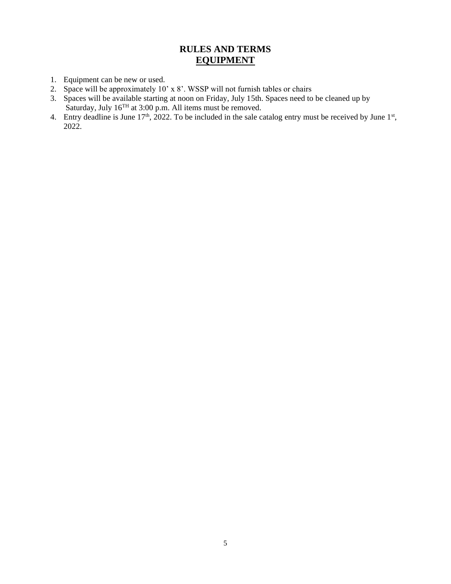### **RULES AND TERMS EQUIPMENT**

- 1. Equipment can be new or used.
- 2. Space will be approximately 10' x 8'. WSSP will not furnish tables or chairs
- 3. Spaces will be available starting at noon on Friday, July 15th. Spaces need to be cleaned up by Saturday, July  $16<sup>TH</sup>$  at 3:00 p.m. All items must be removed.
- 4. Entry deadline is June  $17<sup>th</sup>$ , 2022. To be included in the sale catalog entry must be received by June  $1<sup>st</sup>$ , 2022.